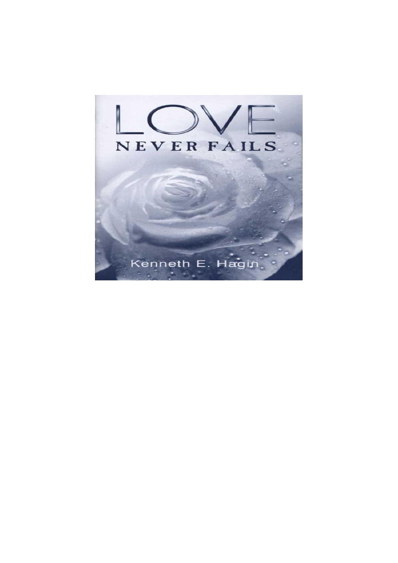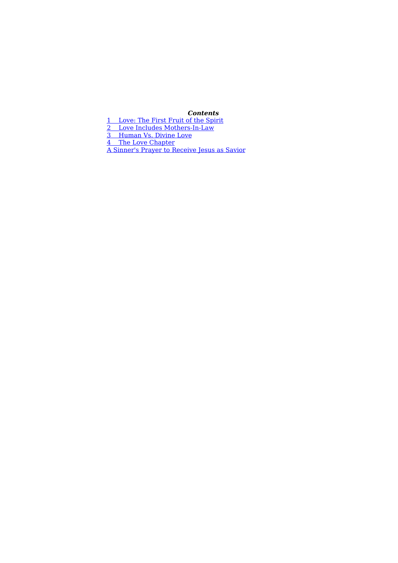# *Contents*

1 Love: The First Fruit of the Spirit

2 Love Includes Mothers-In-Law

3 Human Vs. Divine Love

4 The Love Chapter

A Sinner's Prayer to Receive Jesus as Savior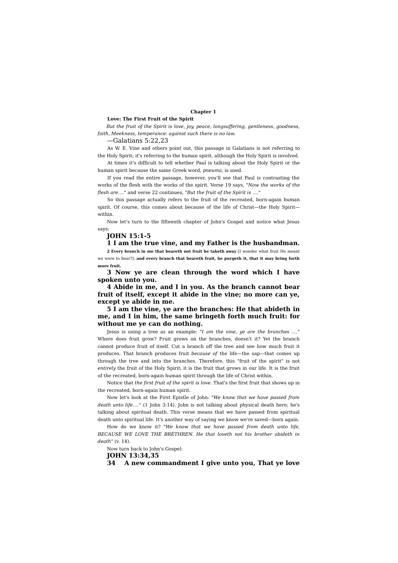## **Love: The First Fruit of the Spirit**

*But the fruit of the Spirit is love, joy, peace, longsuffering, gentleness, goodness, faith, Meekness, temperance: against such there is no law.*

—Galatians 5:22,23

As W. E. Vine and others point out, this passage in Galatians is not referring to the Holy Spirit; it's referring to the human spirit, although the Holy Spirit is involved.

At times it's difficult to tell whether Paul is talking about the Holy Spirit or the human spirit because the same Greek word, *pneuma,* is used.

If you read the entire passage, however, you'll see that Paul is contrasting the works of the flesh with the works of the spirit. Verse 19 says, *"Now the works of the flesh are.*..." and verse 22 continues, *"But the fruit of the Spirit is ...."*

So this passage actually refers to the fruit of the recreated, born-again human spirit. Of course, this comes about because of the life of Christ—the Holy Spirit within.

Now let's turn to the fifteenth chapter of John's Gospel and notice what Jesus says:

## **JOHN 15:1-5**

**1 I am the true vine, and my Father is the husbandman.**

**2 Every branch in me that beareth not fruit he taketh away** [I wonder what fruit He meant we were to bear?]: **and every branch that beareth fruit, he purgeth it, that it may bring forth more fruit.**

**3 Now ye are clean through the word which I have spoken unto you.**

**4 Abide in me, and I in you. As the branch cannot bear fruit of itself, except it abide in the vine; no more can ye, except ye abide in me.**

**5 I am the vine, ye are the branches: He that abideth in me, and I in him, the same bringeth forth much fruit: for without me ye can do nothing.**

Jesus is using a tree as an example: *"I am the vine, ye are the branches ...."* Where does fruit grow? Fruit grows on the branches, doesn't it? Yet the branch cannot produce fruit of itself. Cut a branch off the tree and see how much fruit it produces. That branch produces fruit *because of* the life—the sap—that comes up through the tree and into the branches. Therefore, this "fruit of the spirit" is not *entirely* the fruit of the Holy Spirit; it is the fruit that grows in our life. It is the fruit of the recreated, born-again human spirit through the life of Christ within.

Notice that *the first fruit of the spirit is love.* That's the first fruit that shows up in the recreated, born-again human spirit.

Now let's look at the First Epistle of John: *"We know that we have passed from death unto life....''* (1 John 3:14). John is not talking about physical death here; he's talking about spiritual death. This verse means that we have passed from spiritual death unto spiritual life. It's another way of saying we know we're saved—born again.

How do we know it? *"We know that we have passed from death unto life, BECAUSE WE LOVE THE BRETHREN. He that loveth not his brother abideth in death"* (v. 14).

Now turn back to John's Gospel:

**JOHN 13:34,35**

**34 A new commandment I give unto you, That ye love**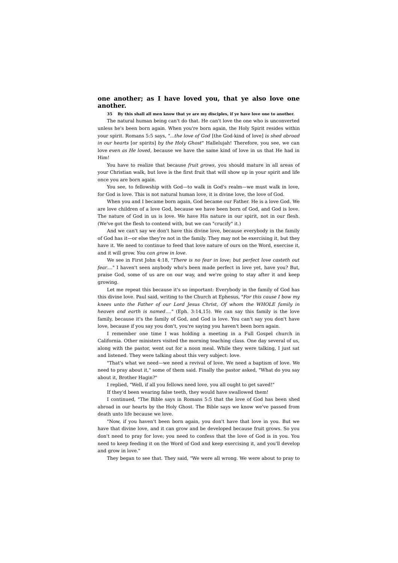## **one another; as I have loved you, that ye also love one another.**

**35 By this shall all men know that ye are my disciples, if ye have love one to another.**

The natural human being can't do that. He can't love the one who is unconverted unless he's been born again. When you're born again, the Holy Spirit resides within your spirit. Romans 5:5 says, *"...the love of God* [the God-kind of love] *is shed abroad in our hearts* [or spirits] *by the Holy Ghost"* Hallelujah! Therefore, you see, we can love *even as He loved,* because we have the same kind of love in us that He had in Him!

You have to realize that because *fruit grows,* you should mature in all areas of your Christian walk, but love is the first fruit that will show up in your spirit and life once you are born again.

You see, to fellowship with God—to walk in God's realm—we must walk in love, for God is love. This is not natural human love, it is divine love, the love of God.

When you and I became born again, God became our Father. He is a love God. We are love children of a love God, because we have been born of God, and God is love. The nature of God in us is love. We have His nature in our spirit, not in our flesh. (We've got the flesh to contend with, but we can "crucify" it.)

And we can't say we don't have this divine love, because everybody in the family of God has it—or else they're not in the family. They may not be exercising it, but they have it. We need to continue to feed that love nature of ours on the Word, exercise it, and it will grow. *You can grow in love.*

We see in First John 4:18, *"There is no fear in love; but perfect love casteth out fear.*..." I haven't seen anybody who's been made perfect in love yet, have you? But, praise God, some of us are on our way, and we're going to stay after it and keep growing.

Let me repeat this because it's so important: Everybody in the family of God has this divine love. Paul said, writing to the Church at Ephesus, *"For this cause I bow my knees unto the Father of our Lord Jesus Christ, Of whom the WHOLE family in heaven and earth is named...."* (Eph. 3:14,15). We can say this family is the love family, because it's the family of God, and God is love. You can't say you don't have love, because if you say you don't, you're saying you haven't been born again.

I remember one time I was holding a meeting in a Full Gospel church in California. Other ministers visited the morning teaching class. One day several of us, along with the pastor, went out for a noon meal. While they were talking, I just sat and listened. They were talking about this very subject: love.

"That's what we need—we need a revival of love. We need a baptism of love. We need to pray about it," some of them said. Finally the pastor asked, "What do you say about it, Brother Hagin?"

I replied, "Well, if all you fellows need love, you all ought to get saved!"

If they'd been wearing false teeth, they would have swallowed them!

I continued, "The Bible says in Romans 5:5 that the love of God has been shed abroad in our hearts by the Holy Ghost. The Bible says we know we've passed from death unto life because we love.

"Now, if you haven't been born again, you don't have that love in you. But we have that divine love, and it can grow and be developed because fruit grows. So you don't need to pray for love; you need to confess that the love of God is in you. You need to keep feeding it on the Word of God and keep exercising it, and you'll develop and grow in love."

They began to see that. They said, "We were all wrong. We were about to pray to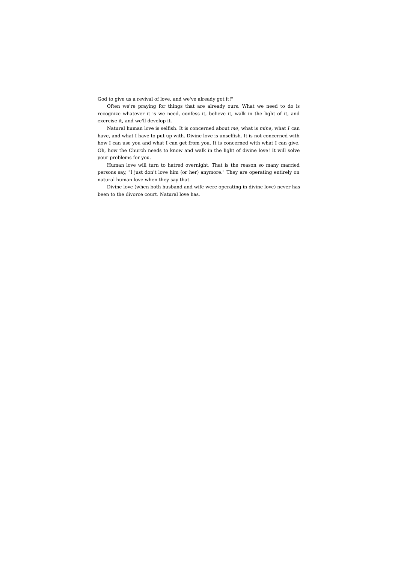God to give us a revival of love, and we've already got it!"

Often we're praying for things that are already ours. What we need to do is recognize whatever it is we need, confess it, believe it, walk in the light of it, and exercise it, and we'll develop it.

Natural human love is selfish. It is concerned about *me,* what is *mine,* what *I* can have, and what I have to put up with. Divine love is unselfish. It is not concerned with how I can use you and what I can get from you. It is concerned with what I can give. Oh, how the Church needs to know and walk in the light of divine love! It will solve your problems for you.

Human love will turn to hatred overnight. That is the reason so many married persons say, "I just don't love him (or her) anymore." They are operating entirely on natural human love when they say that.

Divine love (when both husband and wife were operating in divine love) never has been to the divorce court. Natural love has.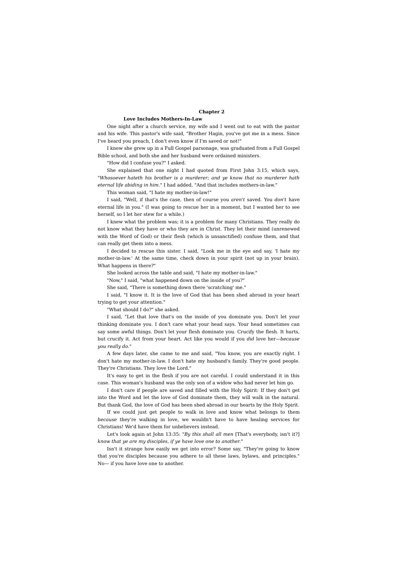### **Love Includes Mothers-In-Law**

One night after a church service, my wife and I went out to eat with the pastor and his wife. This pastor's wife said, "Brother Hagin, you've got me in a mess. Since I've heard you preach, I don't even know if I'm saved or not!"

I knew she grew up in a Full Gospel parsonage, was graduated from a Full Gospel Bible school, and both she and her husband were ordained ministers.

"How did I confuse you?" I asked.

She explained that one night I had quoted from First John 3:15, which says, *"Whosoever hateth his brother is a murderer; and ye know that no murderer hath eternal life abiding in him."* I had added, "And that includes mothers-in-law."

This woman said, "I hate my mother-in-law!"

I said, "Well, if that's the case, then of course you *aren't* saved. You *don't* have eternal life in you." (I was going to rescue her in a moment, but I wanted her to see herself, so I let her stew for a while.)

I knew what the problem was; it is a problem for many Christians. They really do not know what they have or who they are in Christ. They let their mind (unrenewed with the Word of God) or their flesh (which is unsanctified) confuse them, and that can really get them into a mess.

I decided to rescue this sister. I said, "Look me in the eye and say, 'I hate my mother-in-law.' At the same time, check down in your spirit (not up in your brain). What happens in there?"

She looked across the table and said, "I hate my mother-in-law."

"Now," I said, "what happened down on the inside of you?"

She said, "There is something down there 'scratching' me."

I said, "I know it. It is the love of God that has been shed abroad in your heart trying to get your attention."

"What should I do?" she asked.

I said, "Let that love that's on the inside of you dominate you. Don't let your thinking dominate you. I don't care what your head says. Your head sometimes can say some awful things. Don't let your flesh dominate you. Crucify the flesh. It hurts, but crucify it. Act from your heart. Act like you would if you *did* love her*—because you really do."*

A few days later, she came to me and said, "You know, you are exactly right. I don't hate my mother-in-law. I don't hate my husband's family. They're good people. They're Christians. They love the Lord."

It's easy to get in the flesh if you are not careful. I could understand it in this case. This woman's husband was the only son of a widow who had never let him go.

I don't care if people are saved and filled with the Holy Spirit: If they don't get into the Word and let the love of God dominate them, they will walk in the natural. But thank God, the love of God has been shed abroad in our hearts by the Holy Spirit.

If we could just get people to walk in love and know what belongs to them *because* they're walking in love, we wouldn't have to have healing services for Christians! We'd have them for unbelievers instead.

Let's look again at John 13:35: *"By this shall all men* [That's everybody, isn't it?] *know that ye are my disciples, if ye have love one to another."*

Isn't it strange how easily we get into error? Some say, "They're going to know that you're disciples because you adhere to all these laws, bylaws, and principles." No— if you have love one to another.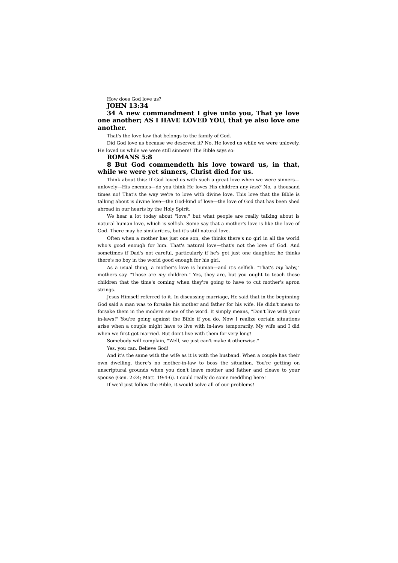How does God love us?

**JOHN 13:34**

## **34 A new commandment I give unto you, That ye love one another; AS I HAVE LOVED YOU, that ye also love one another.**

That's the love law that belongs to the family of God.

Did God love us because we deserved it? No, He loved us while we were unlovely. He loved us while we were still sinners! The Bible says so:

## **ROMANS 5:8**

## **8 But God commendeth his love toward us, in that, while we were yet sinners, Christ died for us.**

Think about this: If God loved us with such a great love when we were sinners unlovely—His enemies—do you think He loves His children any *less?* No, a thousand times no! That's the way we're to love with divine love. This love that the Bible is talking about is divine love—the God-kind of love—the love of God that has been shed abroad in our hearts by the Holy Spirit.

We hear a lot today about "love," but what people are really talking about is natural human love, which is selfish. Some say that a mother's love is like the love of God. There may be similarities, but it's still natural love.

Often when a mother has just one son, she thinks there's no girl in all the world who's good enough for him. That's natural love—that's not the love of God. And sometimes if Dad's not careful, particularly if he's got just one daughter, he thinks there's no boy in the world good enough for his girl.

As a usual thing, a mother's love is human—and it's selfish. "That's *my* baby," mothers say. "Those are *my* children." Yes, they are, but you ought to teach those children that the time's coming when they're going to have to cut mother's apron strings.

Jesus Himself referred to it. In discussing marriage, He said that in the beginning God said a man was to forsake his mother and father for his wife. He didn't mean to forsake them in the modern sense of the word. It simply means, "Don't live with your in-laws!" You're going against the Bible if you do. Now I realize certain situations arise when a couple might have to live with in-laws temporarily. My wife and I did when we first got married. But don't live with them for very long!

Somebody will complain, "Well, we just can't make it otherwise."

Yes, you can. Believe God!

And it's the same with the wife as it is with the husband. When a couple has their own dwelling, there's no mother-in-law to boss the situation. You're getting on unscriptural grounds when you don't leave mother and father and cleave to your spouse (Gen. 2:24; Matt. 19:4-6). I could really do some meddling here!

If we'd just follow the Bible, it would solve all of our problems!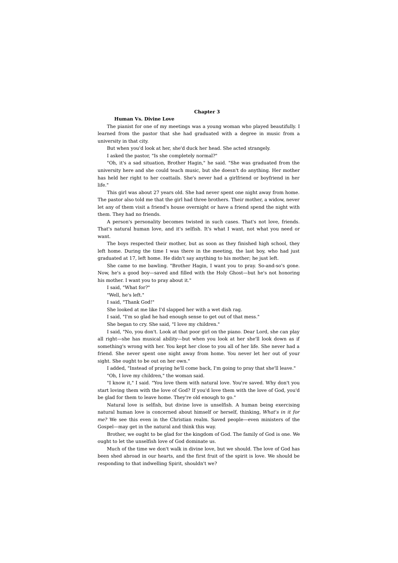#### **Human Vs. Divine Love**

The pianist for one of my meetings was a young woman who played beautifully. I learned from the pastor that she had graduated with a degree in music from a university in that city.

But when you'd look at her, she'd duck her head. She acted strangely.

I asked the pastor, "Is she completely normal?"

"Oh, it's a sad situation, Brother Hagin," he said. "She was graduated from the university here and she could teach music, but she doesn't do anything. Her mother has held her right to her coattails. She's never had a girlfriend or boyfriend in her life."

This girl was about 27 years old. She had never spent one night away from home. The pastor also told me that the girl had three brothers. Their mother, a widow, never let any of them visit a friend's house overnight or have a friend spend the night with them. They had no friends.

A person's personality becomes twisted in such cases. That's not love, friends. That's natural human love, and it's selfish. It's what I want, not what you need or want.

The boys respected their mother, but as soon as they finished high school, they left home. During the time I was there in the meeting, the last boy, who had just graduated at 17, left home. He didn't say anything to his mother; he just left.

She came to me bawling. "Brother Hagin, I want you to pray. So-and-so's gone. Now, he's a good boy—saved and filled with the Holy Ghost—but he's not honoring his mother. I want you to pray about it."

I said, "What for?"

"Well, he's left." I said, "Thank God!"

She looked at me like I'd slapped her with a wet dish rag.

I said, "I'm so glad he had enough sense to get out of that mess."

She began to cry. She said, "I love my children."

I said, "No, you don't. Look at that poor girl on the piano. Dear Lord, she can play all right—she has musical ability—but when you look at her she'll look down as if something's wrong with her. You kept her close to you all of her life. She never had a friend. She never spent one night away from home. You never let her out of your sight. She ought to be out on her own."

I added, "Instead of praying he'll come back, I'm going to pray that she'll leave."

"Oh, I love my children," the woman said.

"I know it," I said. "You love them with natural love. You're saved. Why don't you start loving them with the love of God? If you'd love them with the love of God, you'd be glad for them to leave home. They're old enough to go."

Natural love is selfish, but divine love is unselfish. A human being exercising natural human love is concerned about himself or herself, thinking, *What's in it for me?* We see this even in the Christian realm. Saved people—even ministers of the Gospel—may get in the natural and think this way.

Brother, we ought to be glad for the kingdom of God. The family of God is one. We ought to let the unselfish love of God dominate us.

Much of the time we don't walk in divine love, but we should. The love of God has been shed abroad in our hearts, and the first fruit of the spirit is love. We should be responding to that indwelling Spirit, shouldn't we?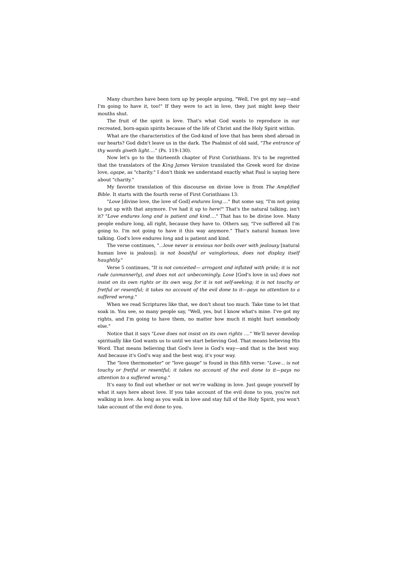Many churches have been torn up by people arguing, "Well, I've got my say—and I'm going to have it, too!" If they were to act in love, they just might keep their mouths shut.

The fruit of the spirit is love. That's what God wants to reproduce in our recreated, born-again spirits because of the life of Christ and the Holy Spirit within.

What are the characteristics of the God-kind of love that has been shed abroad in our hearts? God didn't leave us in the dark. The Psalmist of old said, *"The entrance of thy words giveth light...."* (Ps. 119:130).

Now let's go to the thirteenth chapter of First Corinthians. It's to be regretted that the translators of the *King James Version* translated the Greek word for divine love, *agape,* as "charity." I don't think we understand exactly what Paul is saying here about "charity."

My favorite translation of this discourse on divine love is from *The Amplified Bible.* It starts with the fourth verse of First Corinthians 13:

*"Love* [divine love, the love of God] *endures long.*..." But some say, "I'm not going to put up with that anymore. I've had it up to *here!"* That's the natural talking, isn't it? *"Love endures long and is patient and kind...."* That has to be divine love. Many people endure long, all right, because they have to. Others say, "I've suffered all I'm going to. I'm not going to have it this way anymore." That's natural human love talking. God's love endures *long* and is patient and kind.

The verse continues, *"...love never is envious nor boils over with jealousy* [natural human love is jealous]; *is not boastful or vainglorious, does not display itself haughtily."*

Verse 5 continues, *"It is not conceited*— *arrogant and inflated with pride; it is not rude (unmannerly), and does not act unbecomingly. Love* [God's love in us] *does not insist on its own rights or its own way, for it is not self-seeking; it is not touchy or fretful or resentful; it takes no account of the evil done to it—pays no attention to a suffered wrong."*

When we read Scriptures like that, we don't shout too much. Take time to let that soak in. You see, so many people say, "Well, yes, but I know what's mine. I've got my rights, and I'm going to have them, no matter how much it might hurt somebody else."

Notice that it says *"Love does not insist on its own rights ...."* We'll never develop spiritually like God wants us to until we start believing God. That means believing His Word. That means believing that God's love is God's way—and that is the best way. And because it's God's way and the best way, it's your way.

The "love thermometer" or "love gauge" is found in this fifth verse: *"Love... is not touchy or fretful or resentful; it takes no account of the evil done to it—pays no attention to a suffered wrong."*

It's easy to find out whether or not we're walking in love. Just gauge yourself by what it says here about love. If you take account of the evil done to you, you're not walking in love. As long as you walk in love and stay full of the Holy Spirit, you won't take account of the evil done to you.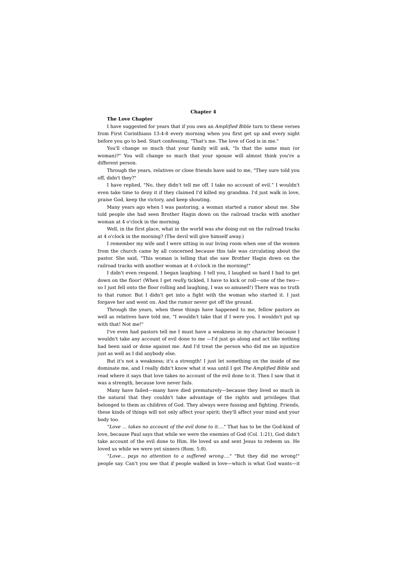#### **The Love Chapter**

I have suggested for years that if you own an *Amplified Bible* turn to these verses from First Corinthians 13:4-8 every morning when you first get up and every night before you go to bed. Start confessing, "That's me. The love of God is in me."

You'll change so much that your family will ask, "Is that the same man (or woman)?" You will change so much that your spouse will almost think you're a different person.

Through the years, relatives or close friends have said to me, "They sure told you off, didn't they?"

I have replied, "No, they didn't tell me off. I take no account of evil." I wouldn't even take time to deny it if they claimed I'd killed my grandma. I'd just walk in love, praise God, keep the victory, and keep shouting.

Many years ago when I was pastoring, a woman started a rumor about me. She told people she had seen Brother Hagin down on the railroad tracks with another woman at 4 o'clock in the morning.

Well, in the first place, what in the world was *she* doing out on the railroad tracks at 4 o'clock in the morning? (The devil will give himself away.)

I remember my wife and I were sitting in our living room when one of the women from the church came by all concerned because this tale was circulating about the pastor. She said, "This woman is telling that she saw Brother Hagin down on the railroad tracks with another woman at 4 o'clock in the morning!"

I didn't even respond. I began laughing. I tell you, I laughed so hard I had to get down on the floor! (When I get *really* tickled, I have to kick or roll—one of the two so I just fell onto the floor rolling and laughing, I was so amused!) There was no truth to that rumor. But I didn't get into a fight with the woman who started it. I just forgave her and went on. And the rumor never got off the ground.

Through the years, when these things have happened to me, fellow pastors as well as relatives have told me, "I wouldn't take that if I were you. I wouldn't put up with that! Not me!"

I've even had pastors tell me I must have a weakness in my character because I wouldn't take any account of evil done to me —I'd just go along and act like nothing had been said or done against me. And I'd treat the person who did me an injustice just as well as I did anybody else.

But it's not a weakness; it's a strength! I just let something on the inside of me dominate me, and I really didn't know what it was until I got *The Amplified Bible* and read where it says that love takes no account of the evil done to it. Then I saw that it was a strength, because love never fails.

Many have failed—many have died prematurely—because they lived so much in the natural that they couldn't take advantage of the rights and privileges that belonged to them as children of God. They always were fussing and fighting. Friends, these kinds of things will not only affect your spirit; they'll affect your mind and your body too.

*"Love ... takes no account of the evil done to it...."* That has to be the God-kind of love, because Paul says that while we were the enemies of God (Col. 1:21), God didn't take account of the evil done to Him. He loved us and sent Jesus to redeem us. He loved us while we were yet sinners (Rom. 5:8).

*"Love... pays no attention to a suffered wrong...."* "But they did me wrong!" people say. Can't you see that if people walked in love—which is what God wants—it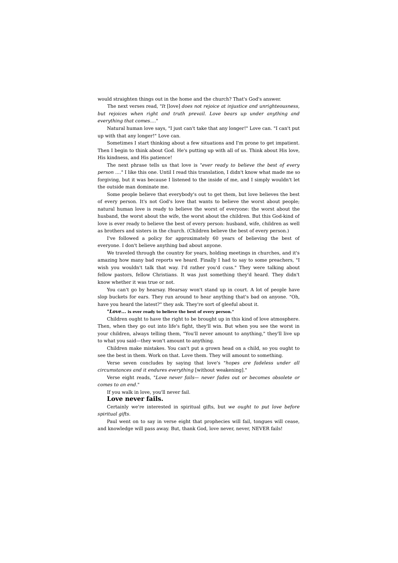would straighten things out in the home and the church? That's God's answer.

The next verses read, *"It* [love] *does not rejoice at injustice and unrighteousness, but rejoices when right and truth prevail. Love bears up under anything and everything that comes...."*

Natural human love says, "I just can't take that any longer!" Love can. "I can't put up with that any longer!" Love can.

Sometimes I start thinking about a few situations and I'm prone to get impatient. Then I begin to think about God. He's putting up with all of us. Think about His love, His kindness, and His patience!

The next phrase tells us that love is *"ever ready to believe the best of every person* ...." I like this one. Until I read this translation, I didn't know what made me so forgiving, but it was because I listened to the inside of me, and I simply wouldn't let the outside man dominate me.

Some people believe that everybody's out to get them, but love believes the best of every person. It's not God's love that wants to believe the worst about people; natural human love is ready to believe the worst of everyone: the worst about the husband, the worst about the wife, the worst about the children. But this God-kind of love is ever ready to believe the best of every person: husband, wife, children as well as brothers and sisters in the church. (Children believe the best of every person.)

I've followed a policy for approximately 60 years of believing the best of everyone. I don't believe anything bad about anyone.

We traveled through the country for years, holding meetings in churches, and it's amazing how many bad reports we heard. Finally I had to say to some preachers, "I wish you wouldn't talk that way. I'd rather you'd cuss." They were talking about fellow pastors, fellow Christians. It was just something they'd heard. They didn't know whether it was true or not.

You can't go by hearsay. Hearsay won't stand up in court. A lot of people have slop buckets for ears. They run around to hear anything that's bad on anyone. "Oh, have you heard the latest?" they ask. They're sort of gleeful about it.

*"Love...* **is ever ready to believe the best of every person."**

Children ought to have the right to be brought up in this kind of love atmosphere. Then, when they go out into life's fight, they'll win. But when you see the worst in your children, always telling them, "You'll never amount to anything," they'll live up to what you said—they won't amount to anything.

Children make mistakes. You can't put a grown head on a child, so you ought to see the best in them. Work on that. Love them. They will amount to something.

Verse seven concludes by saying that love's *"hopes are fadeless under all circumstances and it endures everything* [without weakening].*"*

Verse eight reads, *"Love never fails*— *never fades out or becomes obsolete or comes to an end."*

If you walk in love, you'll never fail.

## **Love never fails.**

Certainly we're interested in spiritual gifts, but *we ought to put love before spiritual gifts.*

Paul went on to say in verse eight that prophecies will fail, tongues will cease, and knowledge will pass away. But, thank God, love never, never, NEVER fails!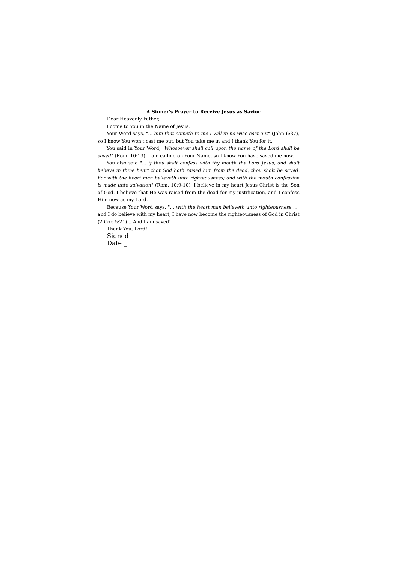## **A Sinner's Prayer to Receive Jesus as Savior**

Dear Heavenly Father,

I come to You in the Name of Jesus.

Your Word says, *"... him that cometh to me I will in no wise cast out"* (John 6:37), so I know You won't cast me out, but You take me in and I thank You for it.

You said in Your Word, *"Whosoever shall call upon the name of the Lord shall be saved"* (Rom. 10:13). I am calling on Your Name, so I know You have saved me now.

You also said *"... if thou shalt confess with thy mouth the Lord Jesus, and shalt believe in thine heart that God hath raised him from the dead, thou shalt be saved. For with the heart man believeth unto righteousness; and with the mouth confession is made unto salvation"* (Rom. 10:9-10). I believe in my heart Jesus Christ is the Son of God. I believe that He was raised from the dead for my justification, and I confess Him now as my Lord.

Because Your Word says, *"... with the heart man believeth unto righteousness ..."* and I do believe with my heart, I have now become the righteousness of God in Christ (2 Cor. 5:21)... And I am saved!

Thank You, Lord! Signed\_ Date